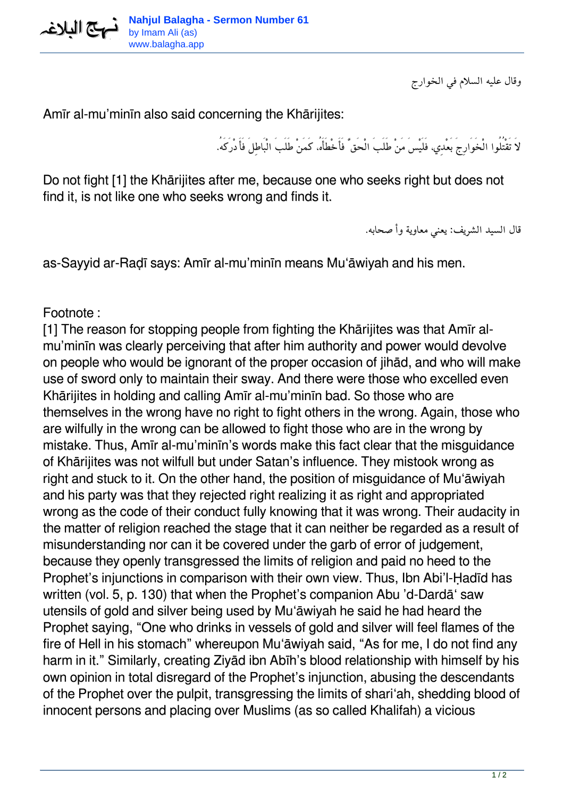

*وقال عليه السلام في الخوارج*

Amīr al-mu'minīn also said concerning the Khārijites:

*لاَ تَقْتُلُوا الْخَوَارِجَ بَعْدِي، فَلَيْسَ مَنْ طَلَبَ الْحَقَّ فَأَخْطَأَه،ُ كَمَنْ طَلَبَ الْبَاطِلَ فَأَدْرَكَه.ُ*

Do not fight [1] the Khārijites after me, because one who seeks right but does not find it, is not like one who seeks wrong and finds it.

*قال السيد الشريف: يعني معاوية وأصحابه.*

as-Sayyid ar-Raḍī says: Amīr al-mu'minīn means Mu'āwiyah and his men.

Footnote :

[1] The reason for stopping people from fighting the Khārijites was that Amīr almu'minīn was clearly perceiving that after him authority and power would devolve on people who would be ignorant of the proper occasion of jihād, and who will make use of sword only to maintain their sway. And there were those who excelled even Khārijites in holding and calling Amīr al-mu'minīn bad. So those who are themselves in the wrong have no right to fight others in the wrong. Again, those who are wilfully in the wrong can be allowed to fight those who are in the wrong by mistake. Thus, Amīr al-mu'minīn's words make this fact clear that the misguidance of Khārijites was not wilfull but under Satan's influence. They mistook wrong as right and stuck to it. On the other hand, the position of misguidance of Mu'āwiyah and his party was that they rejected right realizing it as right and appropriated wrong as the code of their conduct fully knowing that it was wrong. Their audacity in the matter of religion reached the stage that it can neither be regarded as a result of misunderstanding nor can it be covered under the garb of error of judgement, because they openly transgressed the limits of religion and paid no heed to the Prophet's injunctions in comparison with their own view. Thus, Ibn Abi'l-Ḥadīd has written (vol. 5, p. 130) that when the Prophet's companion Abu 'd-Dardā' saw utensils of gold and silver being used by Mu'āwiyah he said he had heard the Prophet saying, "One who drinks in vessels of gold and silver will feel flames of the fire of Hell in his stomach" whereupon Mu'āwiyah said, "As for me, I do not find any harm in it." Similarly, creating Ziyād ibn Abīh's blood relationship with himself by his own opinion in total disregard of the Prophet's injunction, abusing the descendants of the Prophet over the pulpit, transgressing the limits of shari'ah, shedding blood of innocent persons and placing over Muslims (as so called Khalifah) a vicious